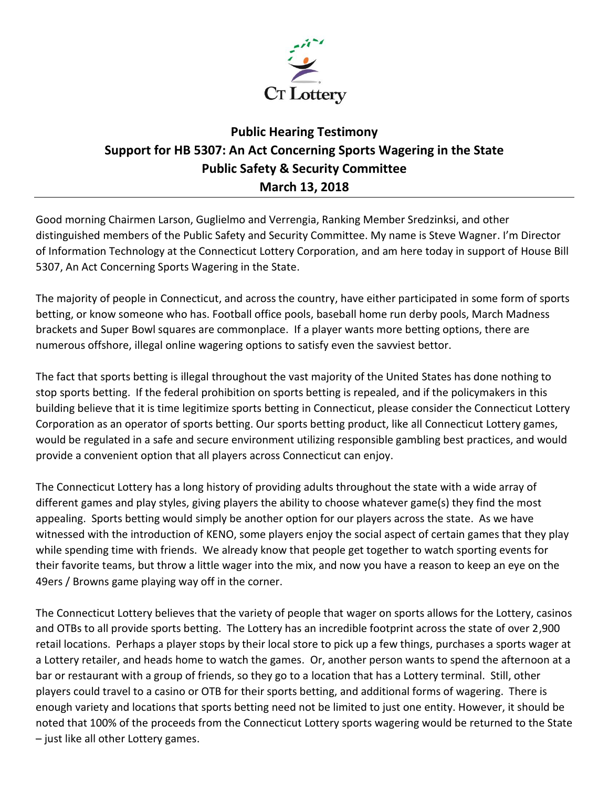

## **Public Hearing Testimony Support for HB 5307: An Act Concerning Sports Wagering in the State Public Safety & Security Committee March 13, 2018**

Good morning Chairmen Larson, Guglielmo and Verrengia, Ranking Member Sredzinksi, and other distinguished members of the Public Safety and Security Committee. My name is Steve Wagner. I'm Director of Information Technology at the Connecticut Lottery Corporation, and am here today in support of House Bill 5307, An Act Concerning Sports Wagering in the State.

The majority of people in Connecticut, and across the country, have either participated in some form of sports betting, or know someone who has. Football office pools, baseball home run derby pools, March Madness brackets and Super Bowl squares are commonplace. If a player wants more betting options, there are numerous offshore, illegal online wagering options to satisfy even the savviest bettor.

The fact that sports betting is illegal throughout the vast majority of the United States has done nothing to stop sports betting. If the federal prohibition on sports betting is repealed, and if the policymakers in this building believe that it is time legitimize sports betting in Connecticut, please consider the Connecticut Lottery Corporation as an operator of sports betting. Our sports betting product, like all Connecticut Lottery games, would be regulated in a safe and secure environment utilizing responsible gambling best practices, and would provide a convenient option that all players across Connecticut can enjoy.

The Connecticut Lottery has a long history of providing adults throughout the state with a wide array of different games and play styles, giving players the ability to choose whatever game(s) they find the most appealing. Sports betting would simply be another option for our players across the state. As we have witnessed with the introduction of KENO, some players enjoy the social aspect of certain games that they play while spending time with friends. We already know that people get together to watch sporting events for their favorite teams, but throw a little wager into the mix, and now you have a reason to keep an eye on the 49ers / Browns game playing way off in the corner.

The Connecticut Lottery believes that the variety of people that wager on sports allows for the Lottery, casinos and OTBs to all provide sports betting. The Lottery has an incredible footprint across the state of over 2,900 retail locations. Perhaps a player stops by their local store to pick up a few things, purchases a sports wager at a Lottery retailer, and heads home to watch the games. Or, another person wants to spend the afternoon at a bar or restaurant with a group of friends, so they go to a location that has a Lottery terminal. Still, other players could travel to a casino or OTB for their sports betting, and additional forms of wagering. There is enough variety and locations that sports betting need not be limited to just one entity. However, it should be noted that 100% of the proceeds from the Connecticut Lottery sports wagering would be returned to the State – just like all other Lottery games.